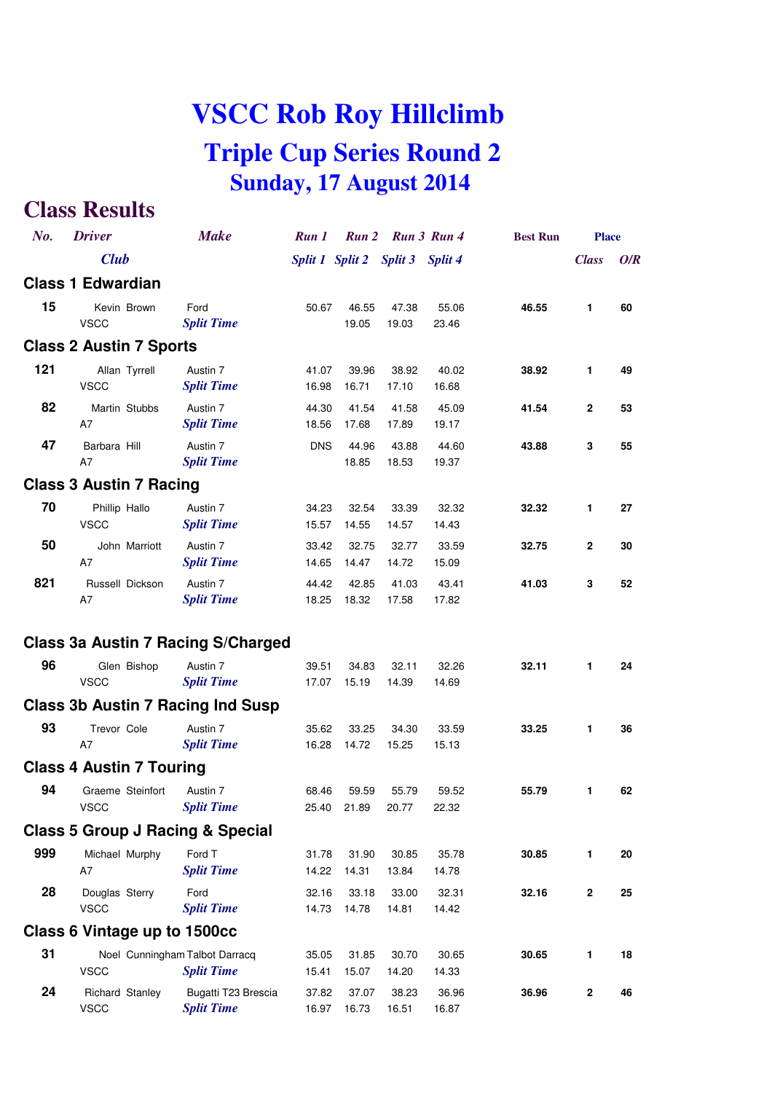| No. | <b>Driver</b>                               | <b>Make</b>                                         | Run 1          |                | Run 2 Run 3 Run 4               |                | <b>Best Run</b> | <b>Place</b>     |     |
|-----|---------------------------------------------|-----------------------------------------------------|----------------|----------------|---------------------------------|----------------|-----------------|------------------|-----|
|     | <b>Club</b>                                 |                                                     |                |                | Split 1 Split 2 Split 3 Split 4 |                |                 | <b>Class</b>     | O/R |
|     | <b>Class 1 Edwardian</b>                    |                                                     |                |                |                                 |                |                 |                  |     |
| 15  | Kevin Brown<br><b>VSCC</b>                  | Ford<br><b>Split Time</b>                           | 50.67          | 46.55<br>19.05 | 47.38<br>19.03                  | 55.06<br>23.46 | 46.55           | $\mathbf{1}$     | 60  |
|     | <b>Class 2 Austin 7 Sports</b>              |                                                     |                |                |                                 |                |                 |                  |     |
| 121 | Allan Tyrrell<br><b>VSCC</b>                | Austin 7<br><b>Split Time</b>                       | 41.07<br>16.98 | 39.96<br>16.71 | 38.92<br>17.10                  | 40.02<br>16.68 | 38.92           | 1                | 49  |
| 82  | Martin Stubbs<br>A7                         | Austin 7<br><b>Split Time</b>                       | 44.30<br>18.56 | 41.54<br>17.68 | 41.58<br>17.89                  | 45.09<br>19.17 | 41.54           | $\mathbf{2}$     | 53  |
| 47  | Barbara Hill<br>A7                          | Austin 7<br><b>Split Time</b>                       | <b>DNS</b>     | 44.96<br>18.85 | 43.88<br>18.53                  | 44.60<br>19.37 | 43.88           | 3                | 55  |
|     | <b>Class 3 Austin 7 Racing</b>              |                                                     |                |                |                                 |                |                 |                  |     |
| 70  | Phillip Hallo<br><b>VSCC</b>                | Austin 7<br><b>Split Time</b>                       | 34.23<br>15.57 | 32.54<br>14.55 | 33.39<br>14.57                  | 32.32<br>14.43 | 32.32           | 1                | 27  |
| 50  | John Marriott<br>A7                         | Austin 7<br><b>Split Time</b>                       | 33.42<br>14.65 | 32.75<br>14.47 | 32.77<br>14.72                  | 33.59<br>15.09 | 32.75           | $\mathbf{2}$     | 30  |
| 821 | Russell Dickson<br>A7                       | Austin 7<br><b>Split Time</b>                       | 44.42<br>18.25 | 42.85<br>18.32 | 41.03<br>17.58                  | 43.41<br>17.82 | 41.03           | 3                | 52  |
|     |                                             | Class 3a Austin 7 Racing S/Charged                  |                |                |                                 |                |                 |                  |     |
| 96  | Glen Bishop<br><b>VSCC</b>                  | Austin 7<br><b>Split Time</b>                       | 39.51<br>17.07 | 34.83<br>15.19 | 32.11<br>14.39                  | 32.26<br>14.69 | 32.11           | $\mathbf{1}$     | 24  |
|     | <b>Class 3b Austin 7 Racing Ind Susp</b>    |                                                     |                |                |                                 |                |                 |                  |     |
| 93  | Trevor Cole<br>A7                           | Austin 7<br><b>Split Time</b>                       | 35.62<br>16.28 | 33.25<br>14.72 | 34.30<br>15.25                  | 33.59<br>15.13 | 33.25           | $\mathbf{1}$     | 36  |
|     | <b>Class 4 Austin 7 Touring</b>             |                                                     |                |                |                                 |                |                 |                  |     |
| 94  | Graeme Steinfort<br><b>VSCC</b>             | Austin 7<br><b>Split Time</b>                       | 68.46<br>25.40 | 59.59<br>21.89 | 55.79<br>20.77                  | 59.52<br>22.32 | 55.79           | 1                | 62  |
|     | <b>Class 5 Group J Racing &amp; Special</b> |                                                     |                |                |                                 |                |                 |                  |     |
| 999 | Michael Murphy<br>A7                        | Ford T<br><b>Split Time</b>                         | 31.78<br>14.22 | 31.90<br>14.31 | 30.85<br>13.84                  | 35.78<br>14.78 | 30.85           | 1                | 20  |
| 28  | Douglas Sterry<br><b>VSCC</b>               | Ford<br><b>Split Time</b>                           | 32.16<br>14.73 | 33.18<br>14.78 | 33.00<br>14.81                  | 32.31<br>14.42 | 32.16           | $\mathbf{2}$     | 25  |
|     | Class 6 Vintage up to 1500cc                |                                                     |                |                |                                 |                |                 |                  |     |
| 31  | <b>VSCC</b>                                 | Noel Cunningham Talbot Darracq<br><b>Split Time</b> | 35.05<br>15.41 | 31.85<br>15.07 | 30.70<br>14.20                  | 30.65<br>14.33 | 30.65           | 1                | 18  |
| 24  | Richard Stanley<br><b>VSCC</b>              | Bugatti T23 Brescia<br><b>Split Time</b>            | 37.82<br>16.97 | 37.07<br>16.73 | 38.23<br>16.51                  | 36.96<br>16.87 | 36.96           | $\boldsymbol{2}$ | 46  |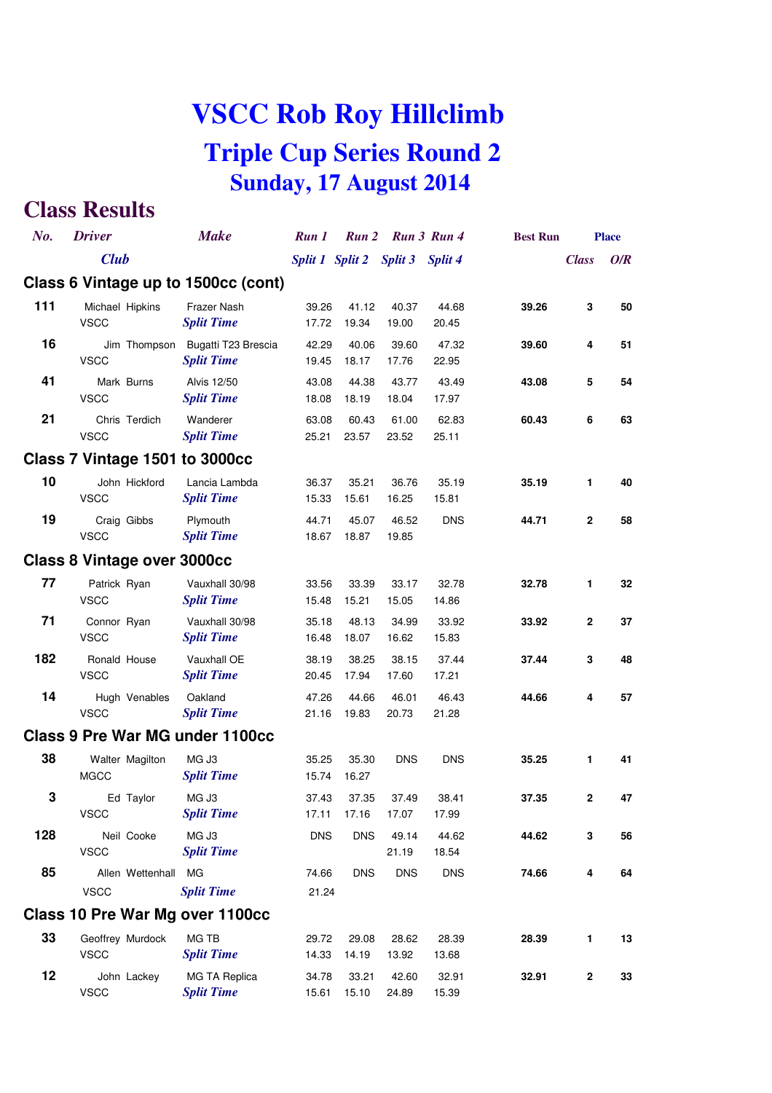| No. | <b>Driver</b>                      |                     | <b>Make</b>                              | Run 1          | Run 2                           |                | Run 3 Run 4    | <b>Best Run</b> |              | <b>Place</b> |
|-----|------------------------------------|---------------------|------------------------------------------|----------------|---------------------------------|----------------|----------------|-----------------|--------------|--------------|
|     | <b>Club</b>                        |                     |                                          |                | Split 1 Split 2 Split 3 Split 4 |                |                |                 | <b>Class</b> | O/R          |
|     |                                    |                     | Class 6 Vintage up to 1500cc (cont)      |                |                                 |                |                |                 |              |              |
| 111 | Michael Hipkins<br><b>VSCC</b>     |                     | Frazer Nash<br><b>Split Time</b>         | 39.26<br>17.72 | 41.12<br>19.34                  | 40.37<br>19.00 | 44.68<br>20.45 | 39.26           | 3            | 50           |
| 16  | <b>VSCC</b>                        | Jim Thompson        | Bugatti T23 Brescia<br><b>Split Time</b> | 42.29<br>19.45 | 40.06<br>18.17                  | 39.60<br>17.76 | 47.32<br>22.95 | 39.60           | 4            | 51           |
| 41  | <b>VSCC</b>                        | Mark Burns          | <b>Alvis 12/50</b><br><b>Split Time</b>  | 43.08<br>18.08 | 44.38<br>18.19                  | 43.77<br>18.04 | 43.49<br>17.97 | 43.08           | 5            | 54           |
| 21  | <b>VSCC</b>                        | Chris Terdich       | Wanderer<br><b>Split Time</b>            | 63.08<br>25.21 | 60.43<br>23.57                  | 61.00<br>23.52 | 62.83<br>25.11 | 60.43           | 6            | 63           |
|     |                                    |                     | Class 7 Vintage 1501 to 3000cc           |                |                                 |                |                |                 |              |              |
| 10  | <b>VSCC</b>                        | John Hickford       | Lancia Lambda<br><b>Split Time</b>       | 36.37<br>15.33 | 35.21<br>15.61                  | 36.76<br>16.25 | 35.19<br>15.81 | 35.19           | 1.           | 40           |
| 19  | <b>VSCC</b>                        | Craig Gibbs         | Plymouth<br><b>Split Time</b>            | 44.71<br>18.67 | 45.07<br>18.87                  | 46.52<br>19.85 | <b>DNS</b>     | 44.71           | $\mathbf{2}$ | 58           |
|     | <b>Class 8 Vintage over 3000cc</b> |                     |                                          |                |                                 |                |                |                 |              |              |
| 77  | Patrick Ryan<br><b>VSCC</b>        |                     | Vauxhall 30/98<br><b>Split Time</b>      | 33.56<br>15.48 | 33.39<br>15.21                  | 33.17<br>15.05 | 32.78<br>14.86 | 32.78           | 1            | 32           |
| 71  | Connor Ryan<br><b>VSCC</b>         |                     | Vauxhall 30/98<br><b>Split Time</b>      | 35.18<br>16.48 | 48.13<br>18.07                  | 34.99<br>16.62 | 33.92<br>15.83 | 33.92           | $\mathbf{2}$ | 37           |
| 182 | Ronald House<br><b>VSCC</b>        |                     | Vauxhall OE<br><b>Split Time</b>         | 38.19<br>20.45 | 38.25<br>17.94                  | 38.15<br>17.60 | 37.44<br>17.21 | 37.44           | 3            | 48           |
| 14  | <b>VSCC</b>                        | Hugh Venables       | Oakland<br><b>Split Time</b>             | 47.26<br>21.16 | 44.66<br>19.83                  | 46.01<br>20.73 | 46.43<br>21.28 | 44.66           | 4            | 57           |
|     |                                    |                     | Class 9 Pre War MG under 1100cc          |                |                                 |                |                |                 |              |              |
| 38  | <b>MGCC</b>                        | Walter Magilton     | MG J3<br><b>Split Time</b>               | 35.25<br>15.74 | 35.30<br>16.27                  | <b>DNS</b>     | <b>DNS</b>     | 35.25           | 1            | 41           |
| 3   | <b>VSCC</b>                        | Ed Taylor           | MG J3<br><b>Split Time</b>               | 37.43<br>17.11 | 37.35<br>17.16                  | 37.49<br>17.07 | 38.41<br>17.99 | 37.35           | $\mathbf{2}$ | 47           |
| 128 | <b>VSCC</b>                        | Neil Cooke          | MG J3<br><b>Split Time</b>               | <b>DNS</b>     | <b>DNS</b>                      | 49.14<br>21.19 | 44.62<br>18.54 | 44.62           | 3            | 56           |
| 85  |                                    | Allen Wettenhall MG |                                          | 74.66          | <b>DNS</b>                      | <b>DNS</b>     | <b>DNS</b>     | 74.66           | 4            | 64           |
|     | <b>VSCC</b>                        |                     | <b>Split Time</b>                        | 21.24          |                                 |                |                |                 |              |              |
|     |                                    |                     | Class 10 Pre War Mg over 1100cc          |                |                                 |                |                |                 |              |              |
| 33  | <b>VSCC</b>                        | Geoffrey Murdock    | MG TB<br><b>Split Time</b>               | 29.72<br>14.33 | 29.08<br>14.19                  | 28.62<br>13.92 | 28.39<br>13.68 | 28.39           | 1            | 13           |
| 12  | <b>VSCC</b>                        | John Lackey         | MG TA Replica<br><b>Split Time</b>       | 34.78<br>15.61 | 33.21<br>15.10                  | 42.60<br>24.89 | 32.91<br>15.39 | 32.91           | 2            | 33           |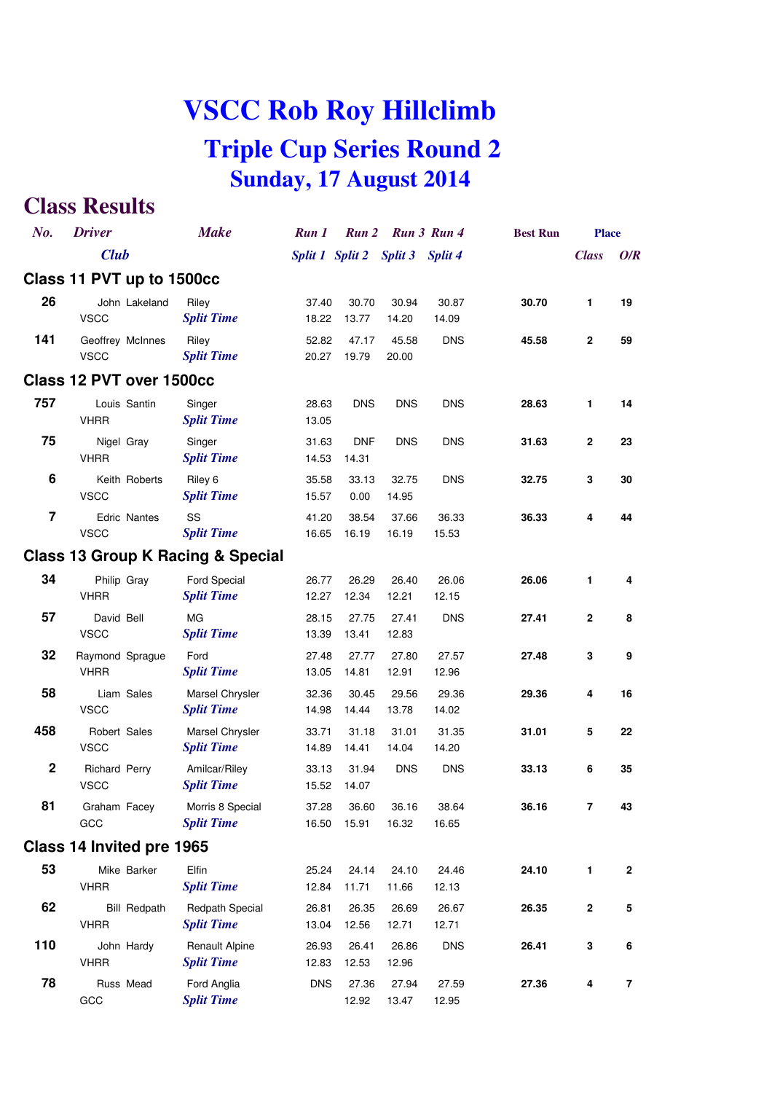| No.                     | <b>Driver</b>                      |                     | <b>Make</b>                                 | Run 1          | Run 2               |                                 | Run 3 Run 4    | <b>Best Run</b> | <b>Place</b>     |              |
|-------------------------|------------------------------------|---------------------|---------------------------------------------|----------------|---------------------|---------------------------------|----------------|-----------------|------------------|--------------|
|                         | <b>Club</b>                        |                     |                                             |                |                     | Split 1 Split 2 Split 3 Split 4 |                |                 | <b>Class</b>     | O/R          |
|                         | Class 11 PVT up to 1500cc          |                     |                                             |                |                     |                                 |                |                 |                  |              |
| 26                      | <b>VSCC</b>                        | John Lakeland       | Riley<br><b>Split Time</b>                  | 37.40<br>18.22 | 30.70<br>13.77      | 30.94<br>14.20                  | 30.87<br>14.09 | 30.70           | 1                | 19           |
| 141                     | Geoffrey McInnes<br><b>VSCC</b>    |                     | Riley<br><b>Split Time</b>                  | 52.82<br>20.27 | 47.17<br>19.79      | 45.58<br>20.00                  | <b>DNS</b>     | 45.58           | $\mathbf{2}$     | 59           |
|                         | Class 12 PVT over 1500cc           |                     |                                             |                |                     |                                 |                |                 |                  |              |
| 757                     | Louis Santin<br><b>VHRR</b>        |                     | Singer<br><b>Split Time</b>                 | 28.63<br>13.05 | <b>DNS</b>          | <b>DNS</b>                      | <b>DNS</b>     | 28.63           | 1                | 14           |
| 75                      | Nigel Gray<br><b>VHRR</b>          |                     | Singer<br><b>Split Time</b>                 | 31.63<br>14.53 | <b>DNF</b><br>14.31 | <b>DNS</b>                      | <b>DNS</b>     | 31.63           | $\boldsymbol{2}$ | 23           |
| 6                       | <b>VSCC</b>                        | Keith Roberts       | Riley 6<br><b>Split Time</b>                | 35.58<br>15.57 | 33.13<br>0.00       | 32.75<br>14.95                  | <b>DNS</b>     | 32.75           | 3                | 30           |
| $\overline{\mathbf{z}}$ | <b>Edric Nantes</b><br><b>VSCC</b> |                     | SS<br><b>Split Time</b>                     | 41.20<br>16.65 | 38.54<br>16.19      | 37.66<br>16.19                  | 36.33<br>15.53 | 36.33           | 4                | 44           |
|                         |                                    |                     | Class 13 Group K Racing & Special           |                |                     |                                 |                |                 |                  |              |
| 34                      | Philip Gray<br><b>VHRR</b>         |                     | Ford Special<br><b>Split Time</b>           | 26.77<br>12.27 | 26.29<br>12.34      | 26.40<br>12.21                  | 26.06<br>12.15 | 26.06           | 1                | 4            |
| 57                      | David Bell<br><b>VSCC</b>          |                     | <b>MG</b><br><b>Split Time</b>              | 28.15<br>13.39 | 27.75<br>13.41      | 27.41<br>12.83                  | <b>DNS</b>     | 27.41           | $\mathbf{2}$     | 8            |
| 32                      | Raymond Sprague<br><b>VHRR</b>     |                     | Ford<br><b>Split Time</b>                   | 27.48<br>13.05 | 27.77<br>14.81      | 27.80<br>12.91                  | 27.57<br>12.96 | 27.48           | 3                | 9            |
| 58                      | Liam Sales<br><b>VSCC</b>          |                     | Marsel Chrysler<br><b>Split Time</b>        | 32.36<br>14.98 | 30.45<br>14.44      | 29.56<br>13.78                  | 29.36<br>14.02 | 29.36           | 4                | 16           |
| 458                     | Robert Sales<br><b>VSCC</b>        |                     | Marsel Chrysler<br><b>Split Time</b>        | 33.71<br>14.89 | 31.18<br>14.41      | 31.01<br>14.04                  | 31.35<br>14.20 | 31.01           | 5                | 22           |
| $\mathbf 2$             | Richard Perry<br><b>VSCC</b>       |                     | Amilcar/Riley<br><b>Split Time</b>          | 33.13<br>15.52 | 31.94<br>14.07      | <b>DNS</b>                      | <b>DNS</b>     | 33.13           | 6                | 35           |
| 81                      | Graham Facey<br>GCC                |                     | Morris 8 Special<br><b>Split Time</b>       | 37.28<br>16.50 | 36.60<br>15.91      | 36.16<br>16.32                  | 38.64<br>16.65 | 36.16           | 7                | 43           |
|                         | Class 14 Invited pre 1965          |                     |                                             |                |                     |                                 |                |                 |                  |              |
| 53                      | Mike Barker<br><b>VHRR</b>         |                     | Elfin<br><b>Split Time</b>                  | 25.24<br>12.84 | 24.14<br>11.71      | 24.10<br>11.66                  | 24.46<br>12.13 | 24.10           | 1                | $\mathbf{2}$ |
| 62                      | <b>VHRR</b>                        | <b>Bill Redpath</b> | <b>Redpath Special</b><br><b>Split Time</b> | 26.81<br>13.04 | 26.35<br>12.56      | 26.69<br>12.71                  | 26.67<br>12.71 | 26.35           | $\mathbf{2}$     | 5            |
| 110                     | John Hardy<br><b>VHRR</b>          |                     | <b>Renault Alpine</b><br><b>Split Time</b>  | 26.93<br>12.83 | 26.41<br>12.53      | 26.86<br>12.96                  | <b>DNS</b>     | 26.41           | 3                | 6            |
| 78                      | Russ Mead<br>GCC                   |                     | Ford Anglia<br><b>Split Time</b>            | <b>DNS</b>     | 27.36<br>12.92      | 27.94<br>13.47                  | 27.59<br>12.95 | 27.36           | 4                | 7            |